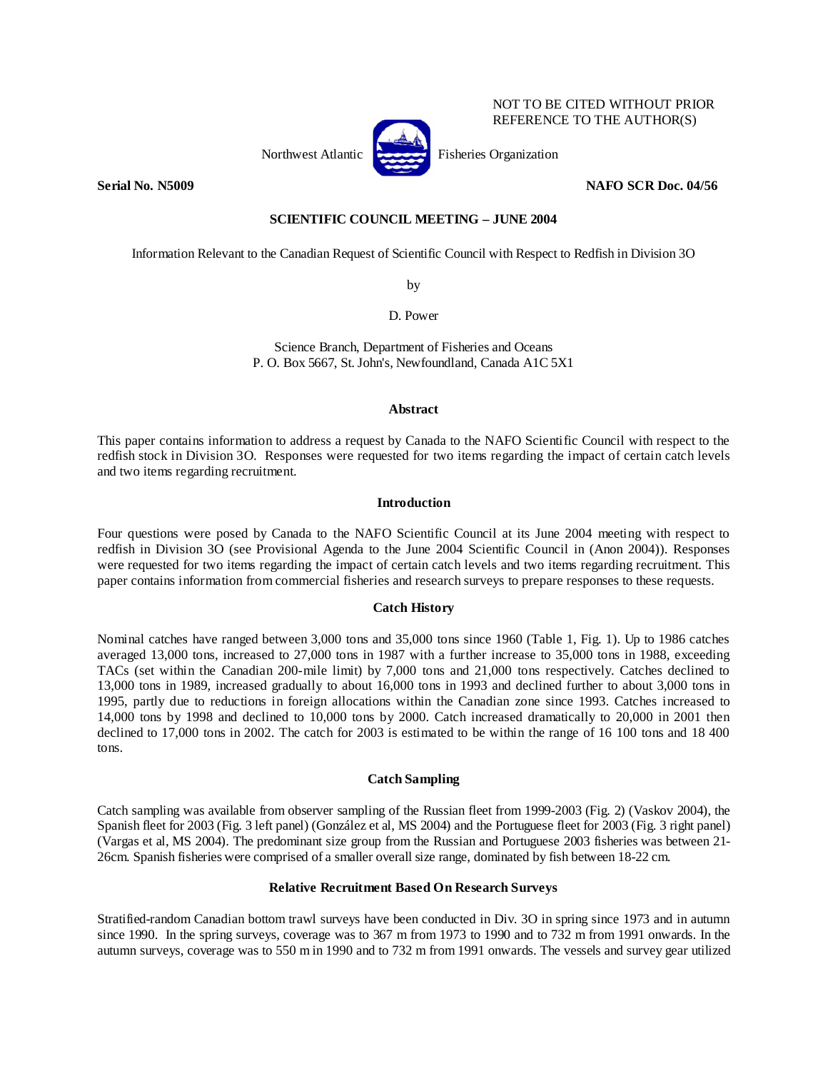

NOT TO BE CITED WITHOUT PRIOR REFERENCE TO THE AUTHOR(S)

**Serial No. N5009 NAFO SCR Doc. 04/56** 

# **SCIENTIFIC COUNCIL MEETING – JUNE 2004**

Information Relevant to the Canadian Request of Scientific Council with Respect to Redfish in Division 3O

by

D. Power

Science Branch, Department of Fisheries and Oceans P. O. Box 5667, St. John's, Newfoundland, Canada A1C 5X1

### **Abstract**

This paper contains information to address a request by Canada to the NAFO Scientific Council with respect to the redfish stock in Division 3O. Responses were requested for two items regarding the impact of certain catch levels and two items regarding recruitment.

# **Introduction**

Four questions were posed by Canada to the NAFO Scientific Council at its June 2004 meeting with respect to redfish in Division 3O (see Provisional Agenda to the June 2004 Scientific Council in (Anon 2004)). Responses were requested for two items regarding the impact of certain catch levels and two items regarding recruitment. This paper contains information from commercial fisheries and research surveys to prepare responses to these requests.

# **Catch History**

Nominal catches have ranged between 3,000 tons and 35,000 tons since 1960 (Table 1, Fig. 1). Up to 1986 catches averaged 13,000 tons, increased to 27,000 tons in 1987 with a further increase to 35,000 tons in 1988, exceeding TACs (set within the Canadian 200-mile limit) by 7,000 tons and 21,000 tons respectively. Catches declined to 13,000 tons in 1989, increased gradually to about 16,000 tons in 1993 and declined further to about 3,000 tons in 1995, partly due to reductions in foreign allocations within the Canadian zone since 1993. Catches increased to 14,000 tons by 1998 and declined to 10,000 tons by 2000. Catch increased dramatically to 20,000 in 2001 then declined to 17,000 tons in 2002. The catch for 2003 is estimated to be within the range of 16 100 tons and 18 400 tons.

#### **Catch Sampling**

Catch sampling was available from observer sampling of the Russian fleet from 1999-2003 (Fig. 2) (Vaskov 2004), the Spanish fleet for 2003 (Fig. 3 left panel) (González et al, MS 2004) and the Portuguese fleet for 2003 (Fig. 3 right panel) (Vargas et al, MS 2004). The predominant size group from the Russian and Portuguese 2003 fisheries was between 21- 26cm. Spanish fisheries were comprised of a smaller overall size range, dominated by fish between 18-22 cm.

# **Relative Recruitment Based On Research Surveys**

Stratified-random Canadian bottom trawl surveys have been conducted in Div. 3O in spring since 1973 and in autumn since 1990. In the spring surveys, coverage was to 367 m from 1973 to 1990 and to 732 m from 1991 onwards. In the autumn surveys, coverage was to 550 m in 1990 and to 732 m from 1991 onwards. The vessels and survey gear utilized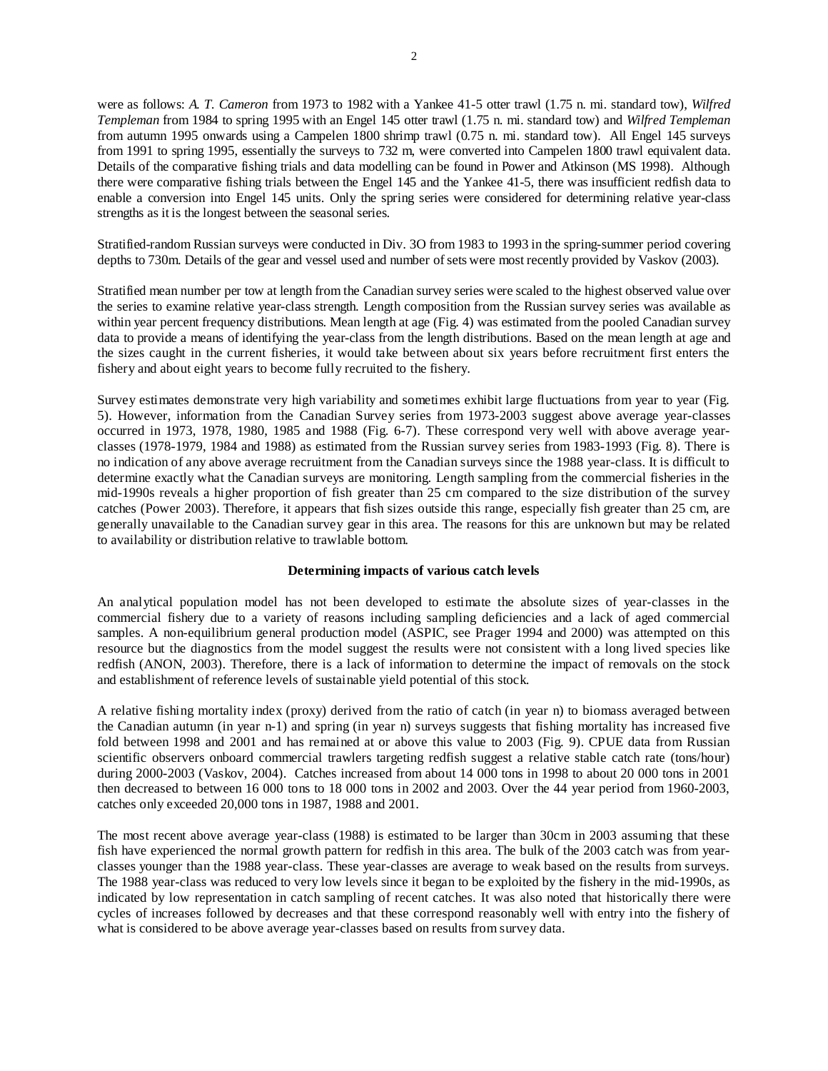were as follows: *A. T. Cameron* from 1973 to 1982 with a Yankee 41-5 otter trawl (1.75 n. mi. standard tow), *Wilfred Templeman* from 1984 to spring 1995 with an Engel 145 otter trawl (1.75 n. mi. standard tow) and *Wilfred Templeman* from autumn 1995 onwards using a Campelen 1800 shrimp trawl (0.75 n. mi. standard tow). All Engel 145 surveys from 1991 to spring 1995, essentially the surveys to 732 m, were converted into Campelen 1800 trawl equivalent data. Details of the comparative fishing trials and data modelling can be found in Power and Atkinson (MS 1998). Although there were comparative fishing trials between the Engel 145 and the Yankee 41-5, there was insufficient redfish data to enable a conversion into Engel 145 units. Only the spring series were considered for determining relative year-class strengths as it is the longest between the seasonal series.

Stratified-random Russian surveys were conducted in Div. 3O from 1983 to 1993 in the spring-summer period covering depths to 730m. Details of the gear and vessel used and number of sets were most recently provided by Vaskov (2003).

Stratified mean number per tow at length from the Canadian survey series were scaled to the highest observed value over the series to examine relative year-class strength. Length composition from the Russian survey series was available as within year percent frequency distributions. Mean length at age (Fig. 4) was estimated from the pooled Canadian survey data to provide a means of identifying the year-class from the length distributions. Based on the mean length at age and the sizes caught in the current fisheries, it would take between about six years before recruitment first enters the fishery and about eight years to become fully recruited to the fishery.

Survey estimates demonstrate very high variability and sometimes exhibit large fluctuations from year to year (Fig. 5). However, information from the Canadian Survey series from 1973-2003 suggest above average year-classes occurred in 1973, 1978, 1980, 1985 and 1988 (Fig. 6-7). These correspond very well with above average yearclasses (1978-1979, 1984 and 1988) as estimated from the Russian survey series from 1983-1993 (Fig. 8). There is no indication of any above average recruitment from the Canadian surveys since the 1988 year-class. It is difficult to determine exactly what the Canadian surveys are monitoring. Length sampling from the commercial fisheries in the mid-1990s reveals a higher proportion of fish greater than 25 cm compared to the size distribution of the survey catches (Power 2003). Therefore, it appears that fish sizes outside this range, especially fish greater than 25 cm, are generally unavailable to the Canadian survey gear in this area. The reasons for this are unknown but may be related to availability or distribution relative to trawlable bottom.

#### **Determining impacts of various catch levels**

An analytical population model has not been developed to estimate the absolute sizes of year-classes in the commercial fishery due to a variety of reasons including sampling deficiencies and a lack of aged commercial samples. A non-equilibrium general production model (ASPIC, see Prager 1994 and 2000) was attempted on this resource but the diagnostics from the model suggest the results were not consistent with a long lived species like redfish (ANON, 2003). Therefore, there is a lack of information to determine the impact of removals on the stock and establishment of reference levels of sustainable yield potential of this stock.

A relative fishing mortality index (proxy) derived from the ratio of catch (in year n) to biomass averaged between the Canadian autumn (in year n-1) and spring (in year n) surveys suggests that fishing mortality has increased five fold between 1998 and 2001 and has remained at or above this value to 2003 (Fig. 9). CPUE data from Russian scientific observers onboard commercial trawlers targeting redfish suggest a relative stable catch rate (tons/hour) during 2000-2003 (Vaskov, 2004). Catches increased from about 14 000 tons in 1998 to about 20 000 tons in 2001 then decreased to between 16 000 tons to 18 000 tons in 2002 and 2003. Over the 44 year period from 1960-2003, catches only exceeded 20,000 tons in 1987, 1988 and 2001.

The most recent above average year-class (1988) is estimated to be larger than 30cm in 2003 assuming that these fish have experienced the normal growth pattern for redfish in this area. The bulk of the 2003 catch was from yearclasses younger than the 1988 year-class. These year-classes are average to weak based on the results from surveys. The 1988 year-class was reduced to very low levels since it began to be exploited by the fishery in the mid-1990s, as indicated by low representation in catch sampling of recent catches. It was also noted that historically there were cycles of increases followed by decreases and that these correspond reasonably well with entry into the fishery of what is considered to be above average year-classes based on results from survey data.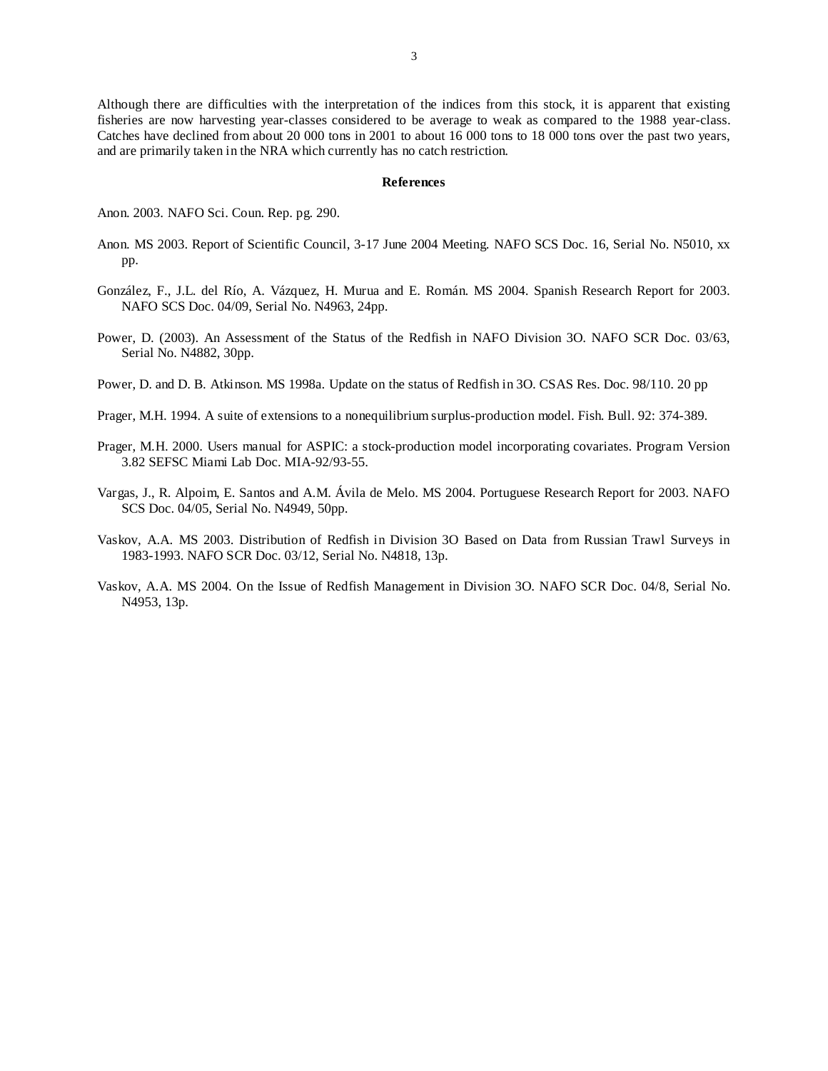Although there are difficulties with the interpretation of the indices from this stock, it is apparent that existing fisheries are now harvesting year-classes considered to be average to weak as compared to the 1988 year-class. Catches have declined from about 20 000 tons in 2001 to about 16 000 tons to 18 000 tons over the past two years, and are primarily taken in the NRA which currently has no catch restriction.

#### **References**

Anon. 2003. NAFO Sci. Coun. Rep. pg. 290.

- Anon. MS 2003. Report of Scientific Council, 3-17 June 2004 Meeting. NAFO SCS Doc. 16, Serial No. N5010, xx pp.
- González, F., J.L. del Río, A. Vázquez, H. Murua and E. Román. MS 2004. Spanish Research Report for 2003. NAFO SCS Doc. 04/09, Serial No. N4963, 24pp.
- Power, D. (2003). An Assessment of the Status of the Redfish in NAFO Division 3O. NAFO SCR Doc. 03/63, Serial No. N4882, 30pp.
- Power, D. and D. B. Atkinson. MS 1998a. Update on the status of Redfish in 3O. CSAS Res. Doc. 98/110. 20 pp
- Prager, M.H. 1994. A suite of extensions to a nonequilibrium surplus-production model. Fish. Bull. 92: 374-389.
- Prager, M.H. 2000. Users manual for ASPIC: a stock-production model incorporating covariates. Program Version 3.82 SEFSC Miami Lab Doc. MIA-92/93-55.
- Vargas, J., R. Alpoim, E. Santos and A.M. Ávila de Melo. MS 2004. Portuguese Research Report for 2003. NAFO SCS Doc. 04/05, Serial No. N4949, 50pp.
- Vaskov, A.A. MS 2003. Distribution of Redfish in Division 3O Based on Data from Russian Trawl Surveys in 1983-1993. NAFO SCR Doc. 03/12, Serial No. N4818, 13p.
- Vaskov, A.A. MS 2004. On the Issue of Redfish Management in Division 3O. NAFO SCR Doc. 04/8, Serial No. N4953, 13p.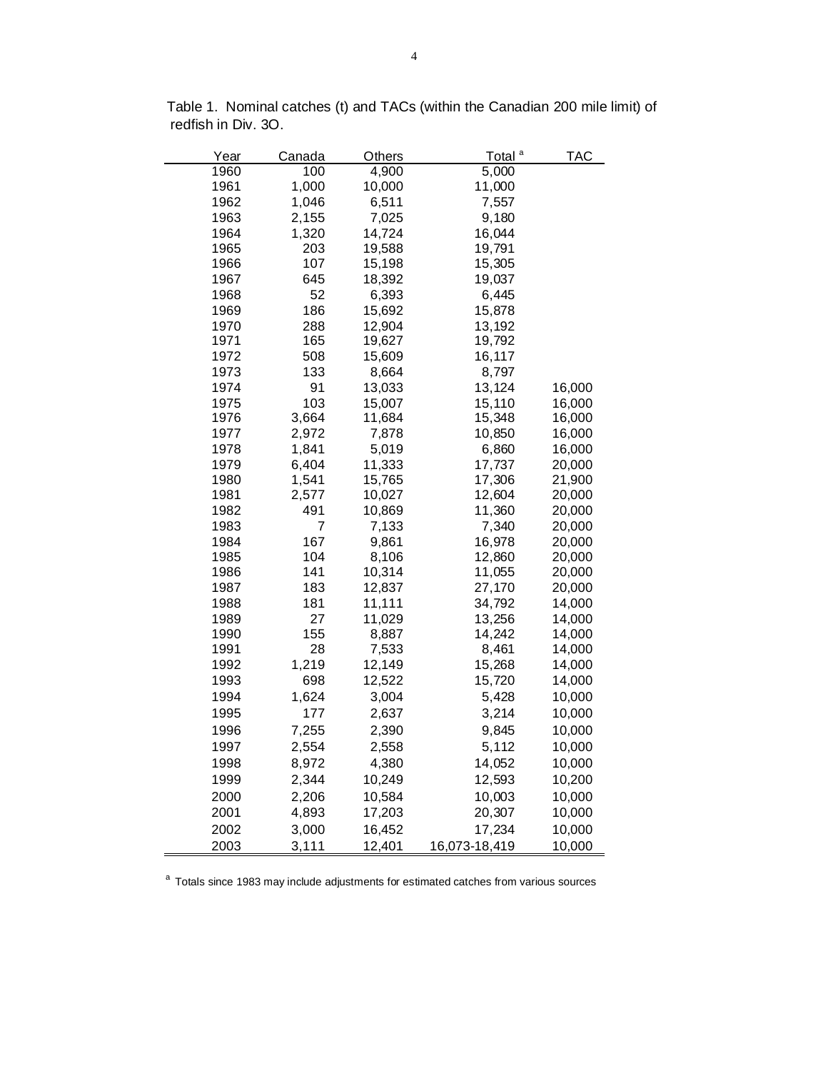| Year | Canada | Others | Total <sup>a</sup> | <b>TAC</b> |
|------|--------|--------|--------------------|------------|
| 1960 | 100    | 4,900  | 5,000              |            |
| 1961 | 1,000  | 10,000 | 11,000             |            |
| 1962 | 1,046  | 6,511  | 7,557              |            |
| 1963 | 2,155  | 7,025  | 9,180              |            |
| 1964 | 1,320  | 14,724 | 16,044             |            |
| 1965 | 203    | 19,588 | 19,791             |            |
| 1966 | 107    | 15,198 | 15,305             |            |
| 1967 | 645    | 18,392 | 19,037             |            |
| 1968 | 52     | 6,393  | 6,445              |            |
| 1969 | 186    | 15,692 | 15,878             |            |
| 1970 | 288    | 12,904 | 13,192             |            |
| 1971 | 165    | 19,627 | 19,792             |            |
| 1972 | 508    | 15,609 | 16,117             |            |
| 1973 | 133    | 8,664  | 8,797              |            |
| 1974 | 91     | 13,033 | 13,124             | 16,000     |
| 1975 | 103    | 15,007 | 15,110             | 16,000     |
| 1976 | 3,664  | 11,684 | 15,348             | 16,000     |
| 1977 | 2,972  | 7,878  | 10,850             | 16,000     |
| 1978 | 1,841  | 5,019  | 6,860              | 16,000     |
| 1979 | 6,404  | 11,333 | 17,737             | 20,000     |
| 1980 | 1,541  | 15,765 | 17,306             | 21,900     |
| 1981 | 2,577  | 10,027 | 12,604             | 20,000     |
| 1982 | 491    | 10,869 | 11,360             | 20,000     |
| 1983 | 7      | 7,133  | 7,340              | 20,000     |
| 1984 | 167    | 9,861  | 16,978             | 20,000     |
| 1985 | 104    | 8,106  | 12,860             | 20,000     |
| 1986 | 141    | 10,314 | 11,055             | 20,000     |
| 1987 | 183    | 12,837 | 27,170             | 20,000     |
| 1988 | 181    | 11,111 | 34,792             | 14,000     |
| 1989 | 27     | 11,029 | 13,256             | 14,000     |
| 1990 | 155    | 8,887  | 14,242             | 14,000     |
| 1991 | 28     | 7,533  | 8,461              | 14,000     |
| 1992 | 1,219  | 12,149 | 15,268             | 14,000     |
| 1993 | 698    | 12,522 | 15,720             | 14,000     |
| 1994 | 1,624  | 3,004  | 5,428              | 10,000     |
| 1995 | 177    | 2,637  | 3,214              | 10,000     |
| 1996 | 7,255  | 2,390  | 9,845              | 10,000     |
| 1997 | 2,554  | 2,558  | 5,112              | 10,000     |
| 1998 | 8,972  | 4,380  | 14,052             | 10,000     |
| 1999 | 2,344  | 10,249 | 12,593             | 10,200     |
| 2000 | 2,206  | 10,584 | 10,003             | 10,000     |
| 2001 | 4,893  | 17,203 | 20,307             | 10,000     |
| 2002 | 3,000  | 16,452 | 17,234             | 10,000     |
| 2003 | 3,111  | 12,401 | 16,073-18,419      | 10,000     |

Table 1. Nominal catches (t) and TACs (within the Canadian 200 mile limit) of redfish in Div. 3O.

<sup>a</sup> Totals since 1983 may include adjustments for estimated catches from various sources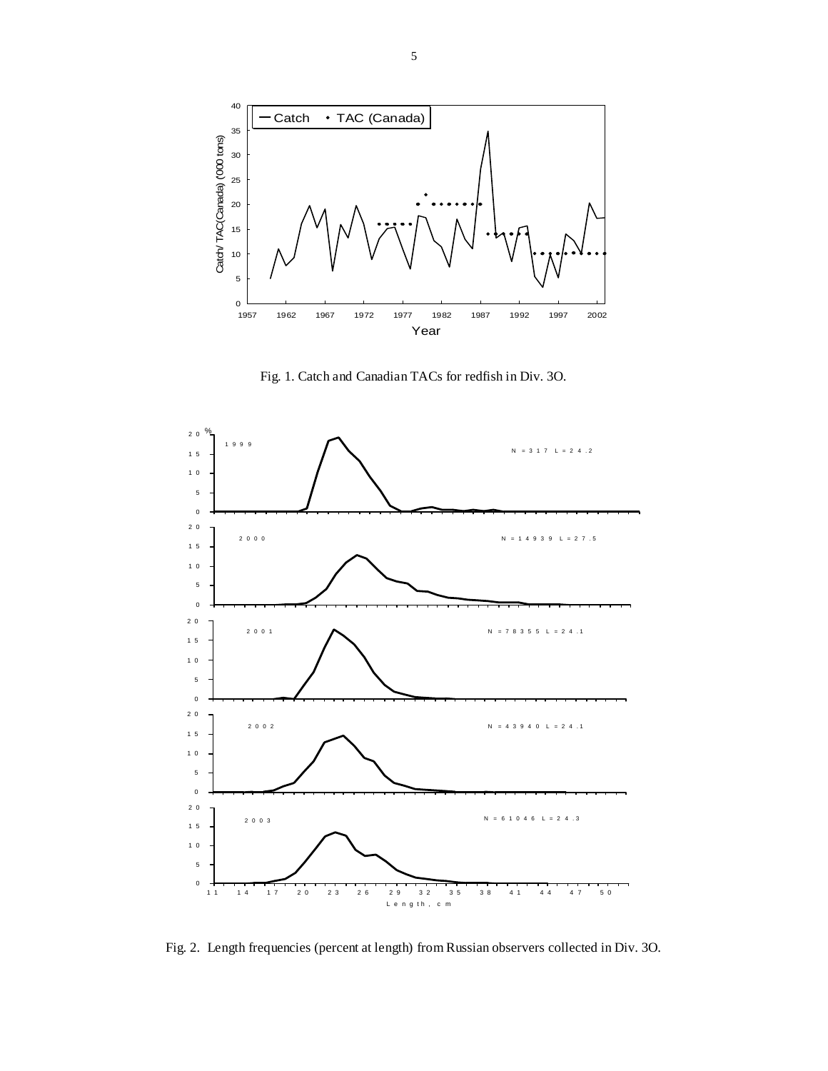

Fig. 1. Catch and Canadian TACs for redfish in Div. 3O.



Fig. 2. Length frequencies (percent at length) from Russian observers collected in Div. 3O.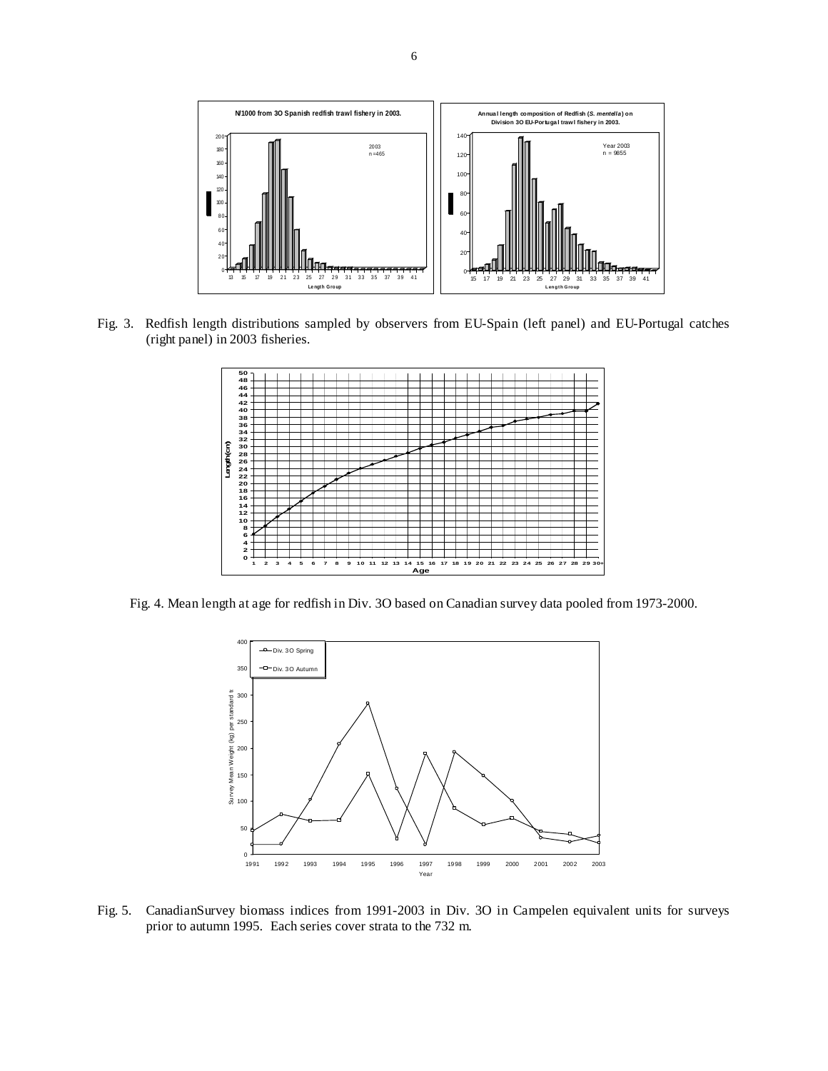

Fig. 3. Redfish length distributions sampled by observers from EU-Spain (left panel) and EU-Portugal catches (right panel) in 2003 fisheries.



Fig. 4. Mean length at age for redfish in Div. 3O based on Canadian survey data pooled from 1973-2000.



Fig. 5. CanadianSurvey biomass indices from 1991-2003 in Div. 3O in Campelen equivalent units for surveys prior to autumn 1995. Each series cover strata to the 732 m.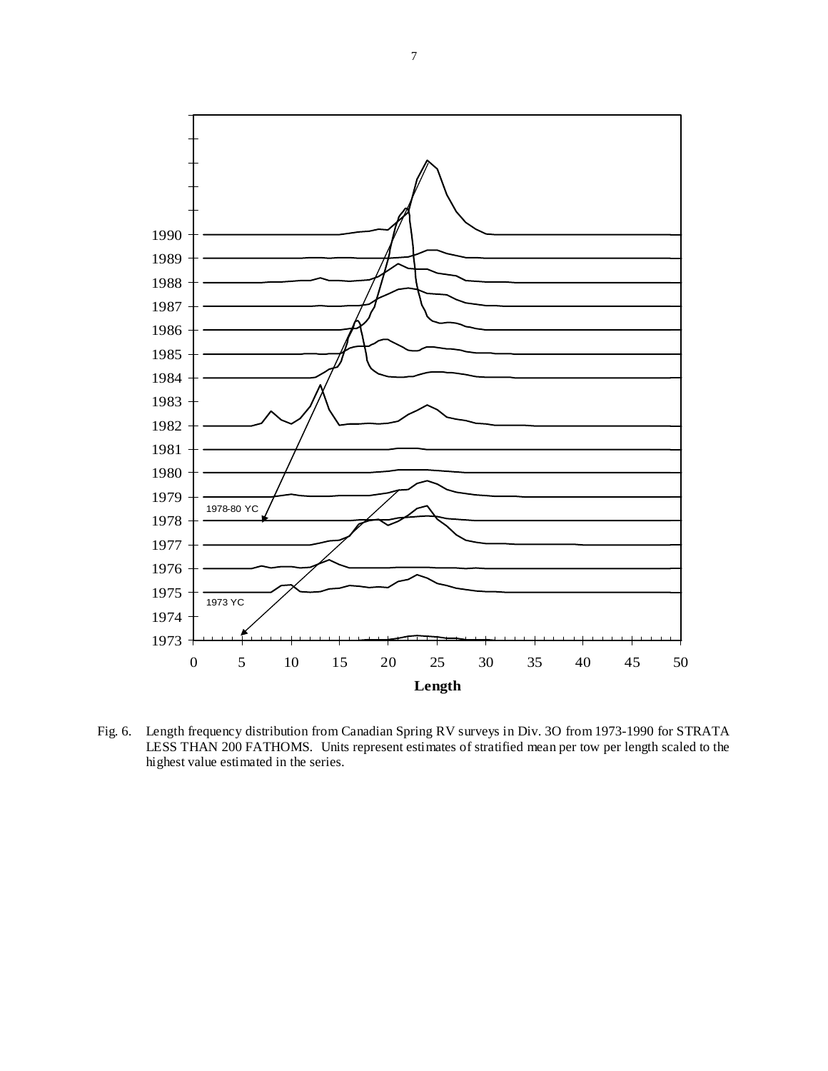

Fig. 6. Length frequency distribution from Canadian Spring RV surveys in Div. 3O from 1973-1990 for STRATA LESS THAN 200 FATHOMS. Units represent estimates of stratified mean per tow per length scaled to the highest value estimated in the series.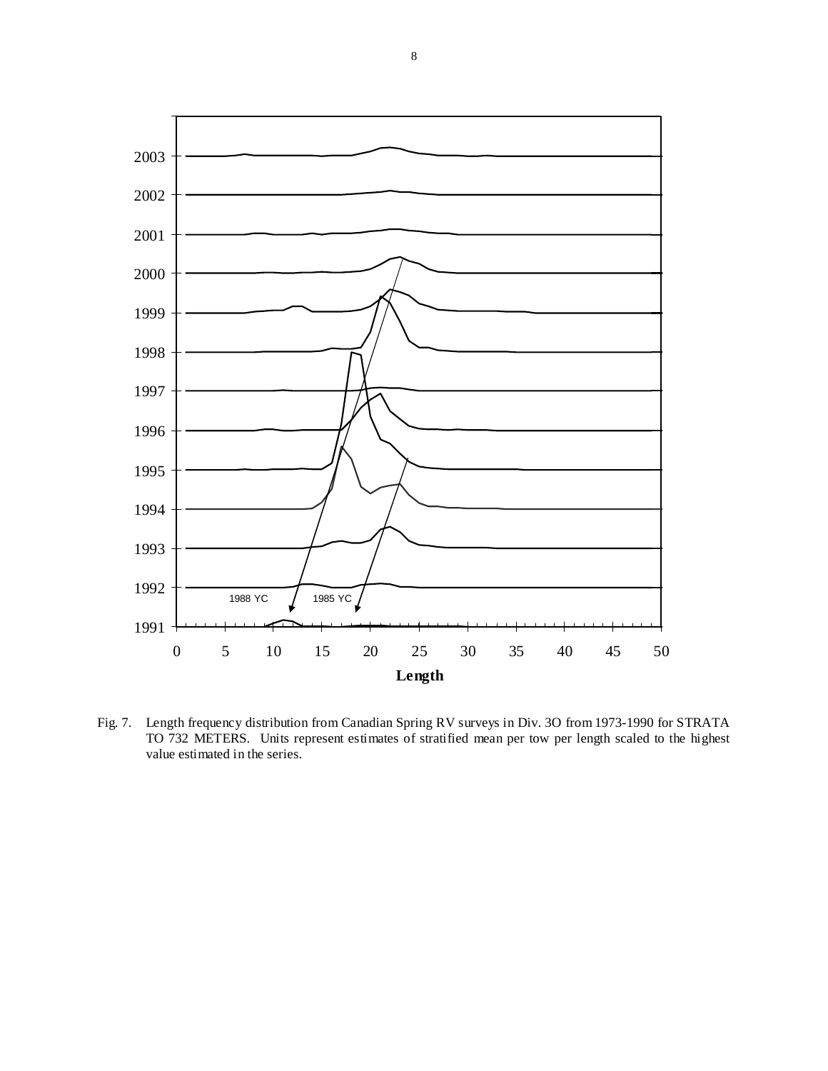

Fig. 7. Length frequency distribution from Canadian Spring RV surveys in Div. 3O from 1973-1990 for STRATA TO 732 METERS. Units represent estimates of stratified mean per tow per length scaled to the highest value estimated in the series.